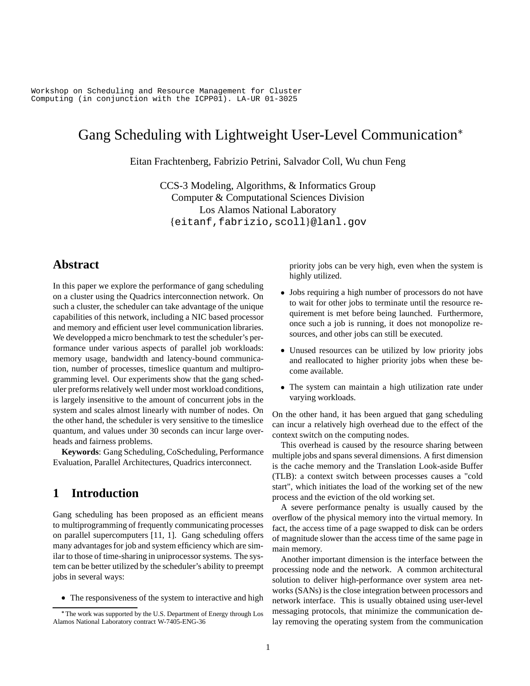Workshop on Scheduling and Resource Management for Cluster Computing (in conjunction with the ICPP01). LA-UR 01-3025

# Gang Scheduling with Lightweight User-Level Communication

Eitan Frachtenberg, Fabrizio Petrini, Salvador Coll, Wu chun Feng

CCS-3 Modeling, Algorithms, & Informatics Group Computer & Computational Sciences Division Los Alamos National Laboratory {eitanf,fabrizio,scoll}@lanl.gov

# **Abstract**

In this paper we explore the performance of gang scheduling on a cluster using the Quadrics interconnection network. On such a cluster, the scheduler can take advantage of the unique capabilities of this network, including a NIC based processor and memory and efficient user level communication libraries. We developped a micro benchmark to test the scheduler's performance under various aspects of parallel job workloads: memory usage, bandwidth and latency-bound communication, number of processes, timeslice quantum and multiprogramming level. Our experiments show that the gang scheduler preforms relatively well under most workload conditions, is largely insensitive to the amount of concurrent jobs in the system and scales almost linearly with number of nodes. On the other hand, the scheduler is very sensitive to the timeslice quantum, and values under 30 seconds can incur large overheads and fairness problems.

**Keywords**: Gang Scheduling, CoScheduling, Performance Evaluation, Parallel Architectures, Quadrics interconnect.

# **1 Introduction**

Gang scheduling has been proposed as an efficient means to multiprogramming of frequently communicating processes on parallel supercomputers [11, 1]. Gang scheduling offers many advantages for job and system efficiency which are similar to those of time-sharing in uniprocessor systems. The system can be better utilized by the scheduler's ability to preempt jobs in several ways:

The responsiveness of the system to interactive and high

priority jobs can be very high, even when the system is highly utilized.

- Jobs requiring a high number of processors do not have to wait for other jobs to terminate until the resource requirement is met before being launched. Furthermore, once such a job is running, it does not monopolize resources, and other jobs can still be executed.
- Unused resources can be utilized by low priority jobs and reallocated to higher priority jobs when these become available.
- The system can maintain a high utilization rate under varying workloads.

On the other hand, it has been argued that gang scheduling can incur a relatively high overhead due to the effect of the context switch on the computing nodes.

This overhead is caused by the resource sharing between multiple jobs and spans several dimensions. A first dimension is the cache memory and the Translation Look-aside Buffer (TLB): a context switch between processes causes a "cold start", which initiates the load of the working set of the new process and the eviction of the old working set.

A severe performance penalty is usually caused by the overflow of the physical memory into the virtual memory. In fact, the access time of a page swapped to disk can be orders of magnitude slower than the access time of the same page in main memory.

Another important dimension is the interface between the processing node and the network. A common architectural solution to deliver high-performance over system area networks (SANs) is the close integration between processors and network interface. This is usually obtained using user-level messaging protocols, that minimize the communication delay removing the operating system from the communication

<sup>-</sup> The work was supported by the U.S. Department of Energy through Los Alamos National Laboratory contract W-7405-ENG-36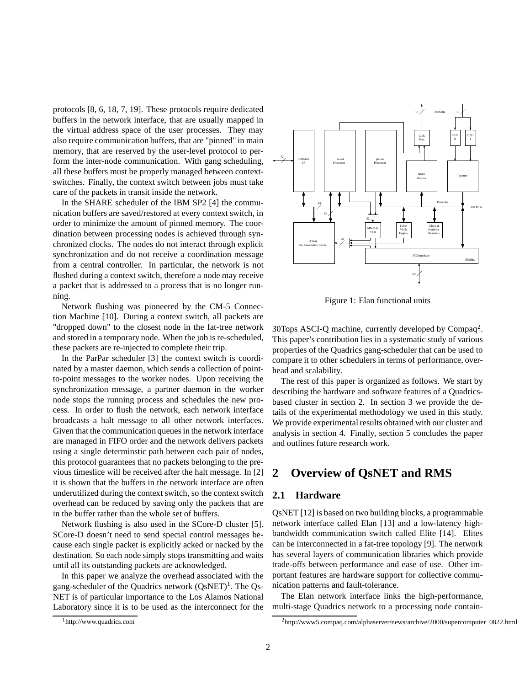protocols [8, 6, 18, 7, 19]. These protocols require dedicated buffers in the network interface, that are usually mapped in the virtual address space of the user processes. They may also require communication buffers, that are "pinned" in main memory, that are reserved by the user-level protocol to perform the inter-node communication. With gang scheduling, all these buffers must be properly managed between contextswitches. Finally, the context switch between jobs must take care of the packets in transit inside the network.

In the SHARE scheduler of the IBM SP2 [4] the communication buffers are saved/restored at every context switch, in order to minimize the amount of pinned memory. The coordination between processing nodes is achieved through synchronized clocks. The nodes do not interact through explicit synchronization and do not receive a coordination message from a central controller. In particular, the network is not flushed during a context switch, therefore a node may receive a packet that is addressed to a process that is no longer running.

Network flushing was pioneered by the CM-5 Connection Machine [10]. During a context switch, all packets are "dropped down" to the closest node in the fat-tree network and stored in a temporary node. When the job is re-scheduled, these packets are re-injected to complete their trip.

In the ParPar scheduler [3] the context switch is coordinated by a master daemon, which sends a collection of pointto-point messages to the worker nodes. Upon receiving the synchronization message, a partner daemon in the worker node stops the running process and schedules the new process. In order to flush the network, each network interface broadcasts a halt message to all other network interfaces. Given that the communication queues in the network interface are managed in FIFO order and the network delivers packets using a single determinstic path between each pair of nodes, this protocol guarantees that no packets belonging to the previous timeslice will be received after the halt message. In [2] it is shown that the buffers in the network interface are often underutilized during the context switch, so the context switch overhead can be reduced by saving only the packets that are in the buffer rather than the whole set of buffers.

Network flushing is also used in the SCore-D cluster [5]. SCore-D doesn't need to send special control messages because each single packet is explicitly acked or nacked by the destination. So each node simply stops transmitting and waits until all its outstanding packets are acknowledged.

In this paper we analyze the overhead associated with the gang-scheduler of the Quadrics network (QsNET)<sup>1</sup>. The Qs-NET is of particular importance to the Los Alamos National Laboratory since it is to be used as the interconnect for the



Figure 1: Elan functional units

30Tops ASCI-Q machine, currently developed by  $Compaq<sup>2</sup>$ . This paper's contribution lies in a systematic study of various properties of the Quadrics gang-scheduler that can be used to compare it to other schedulers in terms of performance, overhead and scalability.

The rest of this paper is organized as follows. We start by describing the hardware and software features of a Quadricsbased cluster in section 2. In section 3 we provide the details of the experimental methodology we used in this study. We provide experimental results obtained with our cluster and analysis in section 4. Finally, section 5 concludes the paper and outlines future research work.

# **2 Overview of QsNET and RMS**

### **2.1 Hardware**

QsNET [12] is based on two building blocks, a programmable network interface called Elan [13] and a low-latency highbandwidth communication switch called Elite [14]. Elites can be interconnected in a fat-tree topology [9]. The network has several layers of communication libraries which provide trade-offs between performance and ease of use. Other important features are hardware support for collective communication patterns and fault-tolerance.

The Elan network interface links the high-performance, multi-stage Quadrics network to a processing node contain-

<sup>1</sup>http://www.quadrics.com

<sup>2</sup>http://www5.compaq.com/alphaserver/news/archive/2000/supercomputer\_0822.html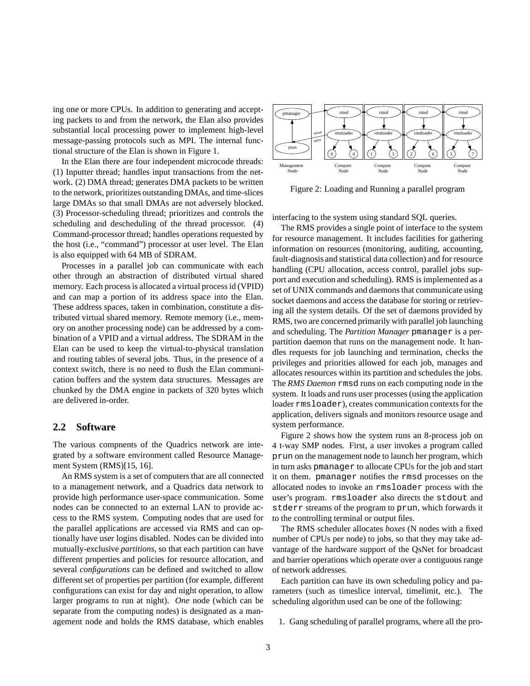ing one or more CPUs. In addition to generating and accepting packets to and from the network, the Elan also provides substantial local processing power to implement high-level message-passing protocols such as MPI. The internal functional structure of the Elan is shown in Figure 1.

In the Elan there are four independent microcode threads: (1) Inputter thread; handles input transactions from the network. (2) DMA thread; generates DMA packets to be written to the network, prioritizes outstanding DMAs, and time-slices large DMAs so that small DMAs are not adversely blocked. (3) Processor-scheduling thread; prioritizes and controls the scheduling and descheduling of the thread processor. (4) Command-processor thread; handles operations requested by the host (i.e., "command") processor at user level. The Elan is also equipped with 64 MB of SDRAM.

Processes in a parallel job can communicate with each other through an abstraction of distributed virtual shared memory. Each processis allocated a virtual processid (VPID) and can map a portion of its address space into the Elan. These address spaces, taken in combination, constitute a distributed virtual shared memory. Remote memory (i.e., memory on another processing node) can be addressed by a combination of a VPID and a virtual address. The SDRAM in the Elan can be used to keep the virtual-to-physical translation and routing tables of several jobs. Thus, in the presence of a context switch, there is no need to flush the Elan communication buffers and the system data structures. Messages are chunked by the DMA engine in packets of 320 bytes which are delivered in-order.

#### **2.2 Software**

The various compnents of the Quadrics network are integrated by a software environment called Resource Management System (RMS)[15, 16].

An RMS system is a set of computers that are all connected to a management network, and a Quadrics data network to provide high performance user-space communication. Some nodes can be connected to an external LAN to provide access to the RMS system. Computing nodes that are used for the parallel applications are accessed via RMS and can optionally have user logins disabled. Nodes can be divided into mutually-exclusive *partitions*, so that each partition can have different properties and policies for resource allocation, and several *configurations* can be defined and switched to allow different set of properties per partition (for example, different configurations can exist for day and night operation, to allow larger programs to run at night). *One* node (which can be separate from the computing nodes) is designated as a management node and holds the RMS database, which enables



Figure 2: Loading and Running a parallel program

interfacing to the system using standard SQL queries.

The RMS provides a single point of interface to the system for resource management. It includes facilities for gathering information on resources (monitoring, auditing, accounting, fault-diagnosis and statistical data collection) and for resource handling (CPU allocation, access control, parallel jobs support and execution and scheduling). RMS is implemented as a set of UNIX commands and daemons that communicate using socket daemons and access the database for storing or retrieving all the system details. Of the set of daemons provided by RMS, two are concerned primarily with parallel job launching and scheduling. The *Partition Manager* pmanager is a perpartition daemon that runs on the management node. It handles requests for job launching and termination, checks the privileges and priorities allowed for each job, manages and allocates resources within its partition and schedules the jobs. The *RMS Daemon* rmsd runs on each computing node in the system. It loads and runs user processes (using the application loader rmsloader), creates communication contexts for the application, delivers signals and monitors resource usage and system performance.

Figure 2 shows how the system runs an 8-process job on 4 t-way SMP nodes. First, a user invokes a program called prun on the management node to launch her program, which in turn asks pmanager to allocate CPUs for the job and start it on them. pmanager notifies the rmsd processes on the allocated nodes to invoke an rmsloader process with the user's program. rmsloader also directs the stdout and stderr streams of the program to prun, which forwards it to the controlling terminal or output files.

The RMS scheduler allocates *boxes* (N nodes with a fixed number of CPUs per node) to jobs, so that they may take advantage of the hardware support of the QsNet for broadcast and barrier operations which operate over a contiguous range of network addresses.

Each partition can have its own scheduling policy and parameters (such as timeslice interval, timelimit, etc.). The scheduling algorithm used can be one of the following:

1. Gang scheduling of parallel programs, where all the pro-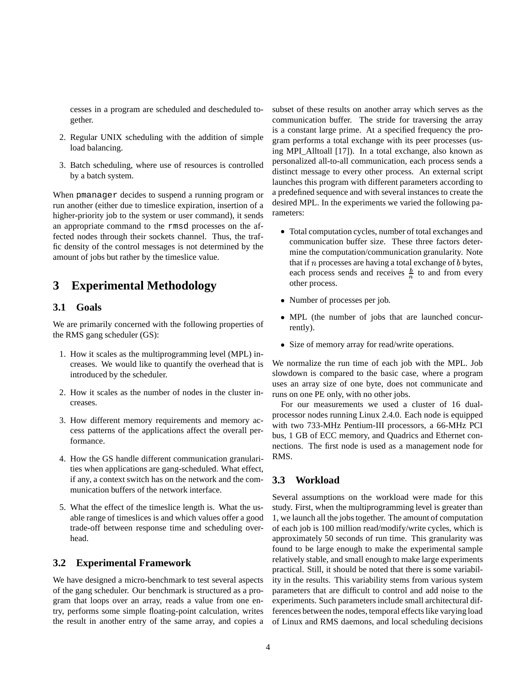cesses in a program are scheduled and descheduled together.

- 2. Regular UNIX scheduling with the addition of simple load balancing.
- 3. Batch scheduling, where use of resources is controlled by a batch system.

When pmanager decides to suspend a running program or run another (either due to timeslice expiration, insertion of a higher-priority job to the system or user command), it sends an appropriate command to the rmsd processes on the affected nodes through their sockets channel. Thus, the traffic density of the control messages is not determined by the amount of jobs but rather by the timeslice value.

# **3 Experimental Methodology**

### **3.1 Goals**

We are primarily concerned with the following properties of the RMS gang scheduler (GS):

- 1. How it scales as the multiprogramming level (MPL) increases. We would like to quantify the overhead that is introduced by the scheduler.
- 2. How it scales as the number of nodes in the cluster increases.
- 3. How different memory requirements and memory access patterns of the applications affect the overall performance.
- 4. How the GS handle different communication granularities when applications are gang-scheduled. What effect, if any, a context switch has on the network and the communication buffers of the network interface.
- 5. What the effect of the timeslice length is. What the usable range of timeslices is and which values offer a good trade-off between response time and scheduling overhead.

### **3.2 Experimental Framework**

We have designed a micro-benchmark to test several aspects of the gang scheduler. Our benchmark is structured as a program that loops over an array, reads a value from one entry, performs some simple floating-point calculation, writes the result in another entry of the same array, and copies a subset of these results on another array which serves as the communication buffer. The stride for traversing the array is a constant large prime. At a specified frequency the program performs a total exchange with its peer processes (using MPI\_Alltoall [17]). In a total exchange, also known as personalized all-to-all communication, each process sends a distinct message to every other process. An external script launches this program with different parameters according to a predefined sequence and with several instances to create the desired MPL. In the experiments we varied the following parameters:

- Total computation cycles, number of total exchanges and communication buffer size. These three factors determine the computation/communication granularity. Note that if  $n$  processes are having a total exchange of  $b$  bytes, each process sends and receives  $\frac{b}{n}$  to and from every other process.
- Number of processes per job.
- MPL (the number of jobs that are launched concurrently).
- Size of memory array for read/write operations.

We normalize the run time of each job with the MPL. Job slowdown is compared to the basic case, where a program uses an array size of one byte, does not communicate and runs on one PE only, with no other jobs.

For our measurements we used a cluster of 16 dualprocessor nodes running Linux 2.4.0. Each node is equipped with two 733-MHz Pentium-III processors, a 66-MHz PCI bus, 1 GB of ECC memory, and Quadrics and Ethernet connections. The first node is used as a management node for RMS.

### **3.3 Workload**

Several assumptions on the workload were made for this study. First, when the multiprogramming level is greater than 1, we launch all the jobs together. The amount of computation of each job is 100 million read/modify/write cycles, which is approximately 50 seconds of run time. This granularity was found to be large enough to make the experimental sample relatively stable, and small enough to make large experiments practical. Still, it should be noted that there is some variability in the results. This variability stems from various system parameters that are difficult to control and add noise to the experiments. Such parameters include small architectural differences between the nodes, temporal effects like varying load of Linux and RMS daemons, and local scheduling decisions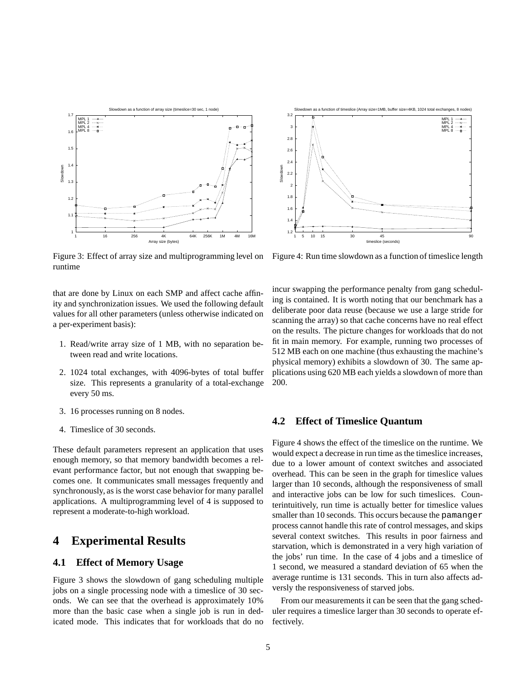

Figure 3: Effect of array size and multiprogramming level on runtime

that are done by Linux on each SMP and affect cache affinity and synchronization issues. We used the following default values for all other parameters (unless otherwise indicated on a per-experiment basis):

- 1. Read/write array size of 1 MB, with no separation between read and write locations.
- 2. 1024 total exchanges, with 4096-bytes of total buffer size. This represents a granularity of a total-exchange every 50 ms.
- 3. 16 processes running on 8 nodes.
- 4. Timeslice of 30 seconds.

These default parameters represent an application that uses enough memory, so that memory bandwidth becomes a relevant performance factor, but not enough that swapping becomes one. It communicates small messages frequently and synchronously, as is the worst case behavior for many parallel applications. A multiprogramming level of 4 is supposed to represent a moderate-to-high workload.

### **4 Experimental Results**

### **4.1 Effect of Memory Usage**

Figure 3 shows the slowdown of gang scheduling multiple jobs on a single processing node with a timeslice of 30 seconds. We can see that the overhead is approximately 10% more than the basic case when a single job is run in dedicated mode. This indicates that for workloads that do no



Figure 4: Run time slowdown as a function of timeslice length

incur swapping the performance penalty from gang scheduling is contained. It is worth noting that our benchmark has a deliberate poor data reuse (because we use a large stride for scanning the array) so that cache concerns have no real effect on the results. The picture changes for workloads that do not fit in main memory. For example, running two processes of 512 MB each on one machine (thus exhausting the machine's physical memory) exhibits a slowdown of 30. The same applications using 620 MB each yields a slowdown of more than 200.

### **4.2 Effect of Timeslice Quantum**

Figure 4 shows the effect of the timeslice on the runtime. We would expect a decrease in run time as the timeslice increases, due to a lower amount of context switches and associated overhead. This can be seen in the graph for timeslice values larger than 10 seconds, although the responsiveness of small and interactive jobs can be low for such timeslices. Counterintuitively, run time is actually better for timeslice values smaller than 10 seconds. This occurs because the pamanger process cannot handle this rate of control messages, and skips several context switches. This results in poor fairness and starvation, which is demonstrated in a very high variation of the jobs' run time. In the case of 4 jobs and a timeslice of 1 second, we measured a standard deviation of 65 when the average runtime is 131 seconds. This in turn also affects adversly the responsiveness of starved jobs.

From our measurements it can be seen that the gang scheduler requires a timeslice larger than 30 seconds to operate effectively.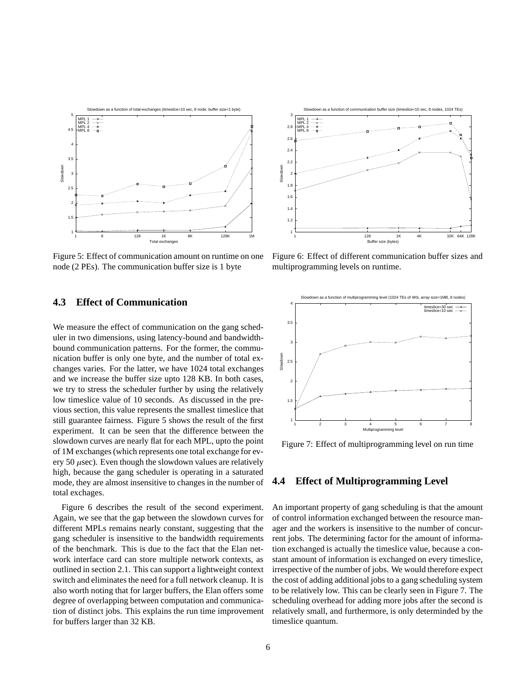

Figure 5: Effect of communication amount on runtime on one node (2 PEs). The communication buffer size is 1 byte

### **4.3 Effect of Communication**

We measure the effect of communication on the gang scheduler in two dimensions, using latency-bound and bandwidthbound communication patterns. For the former, the communication buffer is only one byte, and the number of total exchanges varies. For the latter, we have 1024 total exchanges and we increase the buffer size upto 128 KB. In both cases, we try to stress the scheduler further by using the relatively low timeslice value of 10 seconds. As discussed in the previous section, this value represents the smallest timeslice that still guarantee fairness. Figure 5 shows the result of the first experiment. It can be seen that the difference between the slowdown curves are nearly flat for each MPL, upto the point of 1M exchanges(which represents one total exchange for every 50  $\mu$ sec). Even though the slowdown values are relatively high, because the gang scheduler is operating in a saturated mode, they are almost insensitive to changes in the number of total exchages.

Figure 6 describes the result of the second experiment. Again, we see that the gap between the slowdown curves for different MPLs remains nearly constant, suggesting that the gang scheduler is insensitive to the bandwidth requirements of the benchmark. This is due to the fact that the Elan network interface card can store multiple network contexts, as outlined in section 2.1. This can support a lightweight context switch and eliminates the need for a full network cleanup. It is also worth noting that for larger buffers, the Elan offers some degree of overlapping between computation and communication of distinct jobs. This explains the run time improvement for buffers larger than 32 KB.



Figure 6: Effect of different communication buffer sizes and multiprogramming levels on runtime.



Figure 7: Effect of multiprogramming level on run time

### **4.4 Effect of Multiprogramming Level**

An important property of gang scheduling is that the amount of control information exchanged between the resource manager and the workers is insensitive to the number of concurrent jobs. The determining factor for the amount of information exchanged is actually the timeslice value, because a constant amount of information is exchanged on every timeslice, irrespective of the number of jobs. We would therefore expect the cost of adding additional jobs to a gang scheduling system to be relatively low. This can be clearly seen in Figure 7. The scheduling overhead for adding more jobs after the second is relatively small, and furthermore, is only determinded by the timeslice quantum.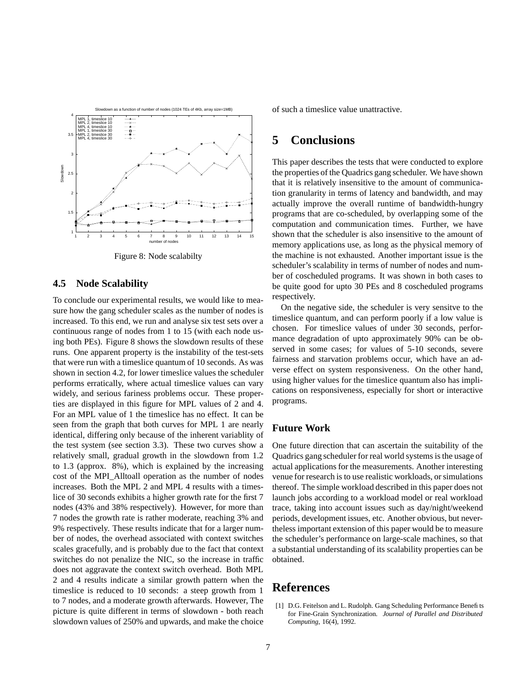

Figure 8: Node scalabilty

#### **4.5 Node Scalability**

To conclude our experimental results, we would like to measure how the gang scheduler scales as the number of nodes is increased. To this end, we run and analyse six test sets over a continuous range of nodes from 1 to 15 (with each node using both PEs). Figure 8 shows the slowdown results of these runs. One apparent property is the instability of the test-sets that were run with a timeslice quantum of 10 seconds. As was shown in section 4.2, for lower timeslice values the scheduler performs erratically, where actual timeslice values can vary widely, and serious fariness problems occur. These properties are displayed in this figure for MPL values of 2 and 4. For an MPL value of 1 the timeslice has no effect. It can be seen from the graph that both curves for MPL 1 are nearly identical, differing only because of the inherent variablity of the test system (see section 3.3). These two curves show a relatively small, gradual growth in the slowdown from 1.2 to 1.3 (approx. 8%), which is explained by the increasing cost of the MPI\_Alltoall operation as the number of nodes increases. Both the MPL 2 and MPL 4 results with a timeslice of 30 seconds exhibits a higher growth rate for the first 7 nodes (43% and 38% respectively). However, for more than 7 nodes the growth rate is rather moderate, reaching 3% and 9% respectively. These results indicate that for a larger number of nodes, the overhead associated with context switches scales gracefully, and is probably due to the fact that context switches do not penalize the NIC, so the increase in traffic does not aggravate the context switch overhead. Both MPL 2 and 4 results indicate a similar growth pattern when the timeslice is reduced to 10 seconds: a steep growth from 1 to 7 nodes, and a moderate growth afterwards. However, The picture is quite different in terms of slowdown - both reach slowdown values of 250% and upwards, and make the choice of such a timeslice value unattractive.

# **5 Conclusions**

This paper describes the tests that were conducted to explore the properties of the Quadrics gang scheduler. We have shown that it is relatively insensitive to the amount of communication granularity in terms of latency and bandwidth, and may actually improve the overall runtime of bandwidth-hungry programs that are co-scheduled, by overlapping some of the computation and communication times. Further, we have shown that the scheduler is also insensitive to the amount of memory applications use, as long as the physical memory of the machine is not exhausted. Another important issue is the scheduler's scalability in terms of number of nodes and number of coscheduled programs. It was shown in both cases to be quite good for upto 30 PEs and 8 coscheduled programs respectively.

On the negative side, the scheduler is very sensitve to the timeslice quantum, and can perform poorly if a low value is chosen. For timeslice values of under 30 seconds, performance degradation of upto approximately 90% can be observed in some cases; for values of 5-10 seconds, severe fairness and starvation problems occur, which have an adverse effect on system responsiveness. On the other hand, using higher values for the timeslice quantum also has implications on responsiveness, especially for short or interactive programs.

### **Future Work**

One future direction that can ascertain the suitability of the Quadrics gang scheduler for real world systems is the usage of actual applications for the measurements. Another interesting venue for research is to use realistic workloads, or simulations thereof. The simple workload described in this paper does not launch jobs according to a workload model or real workload trace, taking into account issues such as day/night/weekend periods, development issues, etc. Another obvious, but nevertheless important extension of this paper would be to measure the scheduler's performance on large-scale machines, so that a substantial understanding of its scalability properties can be obtained.

### **References**

[1] D.G. Feitelson and L. Rudolph. Gang Scheduling Performance Benefits for Fine-Grain Synchronization. *Journal of Parallel and Distributed Computing*, 16(4), 1992.